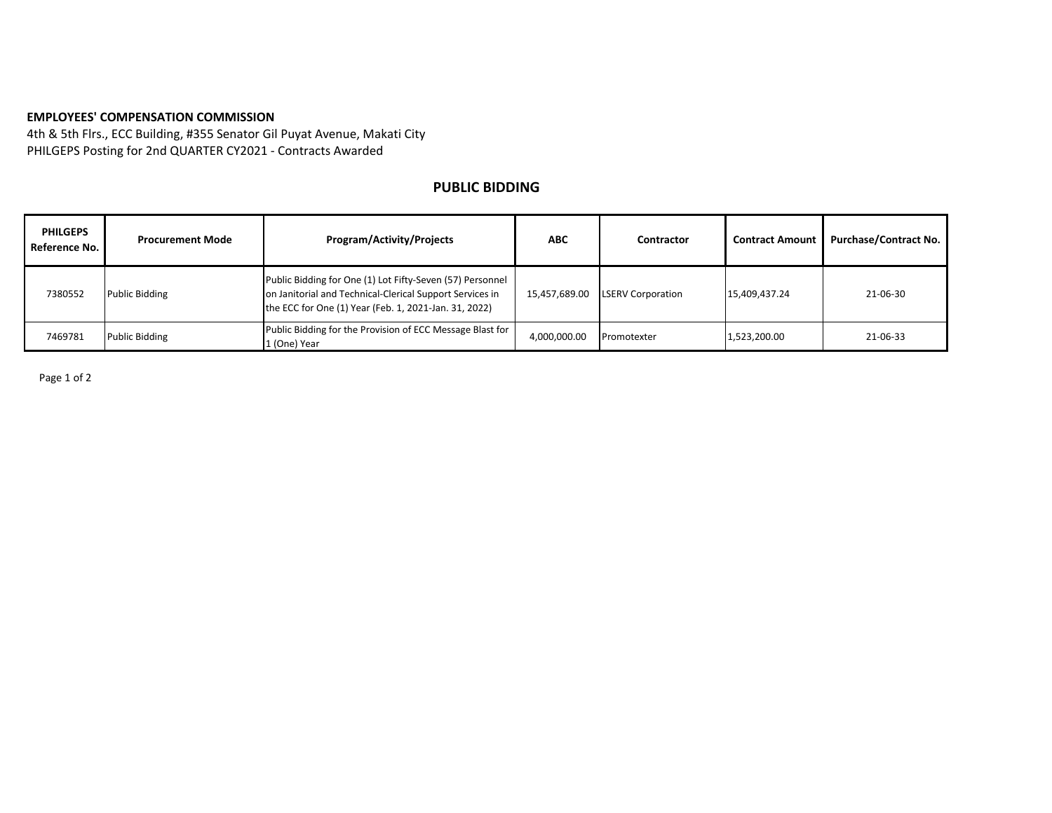## **EMPLOYEES' COMPENSATION COMMISSION**

4th & 5th Flrs., ECC Building, #355 Senator Gil Puyat Avenue, Makati City PHILGEPS Posting for 2nd QUARTER CY2021 - Contracts Awarded

## **PUBLIC BIDDING**

| <b>PHILGEPS</b><br>Reference No. | <b>Procurement Mode</b> | <b>Program/Activity/Projects</b>                                                                                                                                               | ABC           | Contractor               | <b>Contract Amount</b> | <b>Purchase/Contract No.</b> |
|----------------------------------|-------------------------|--------------------------------------------------------------------------------------------------------------------------------------------------------------------------------|---------------|--------------------------|------------------------|------------------------------|
| 7380552                          | <b>Public Bidding</b>   | Public Bidding for One (1) Lot Fifty-Seven (57) Personnel<br>on Janitorial and Technical-Clerical Support Services in<br>the ECC for One (1) Year (Feb. 1, 2021-Jan. 31, 2022) | 15,457,689.00 | <b>LSERV Corporation</b> | 15,409,437.24          | 21-06-30                     |
| 7469781                          | <b>Public Bidding</b>   | Public Bidding for the Provision of ECC Message Blast for<br>1 (One) Year                                                                                                      | 4,000,000.00  | Promotexter              | 1,523,200.00           | 21-06-33                     |

Page 1 of 2